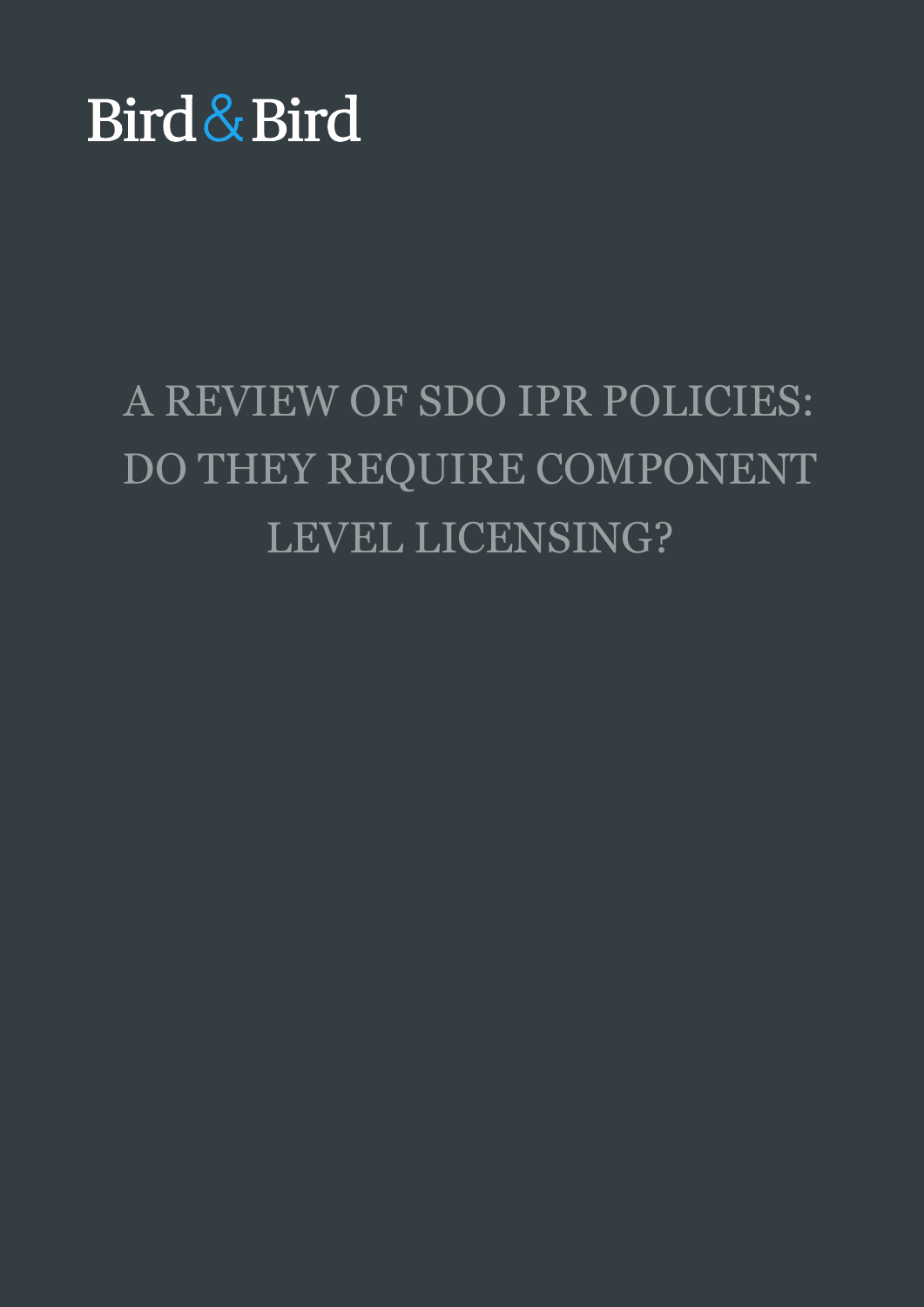# Bird & Bird

## A REVIEW OF SDO IPR POLICIES: DO THEY REQUIRE COMPONENT LEVEL LICENSING?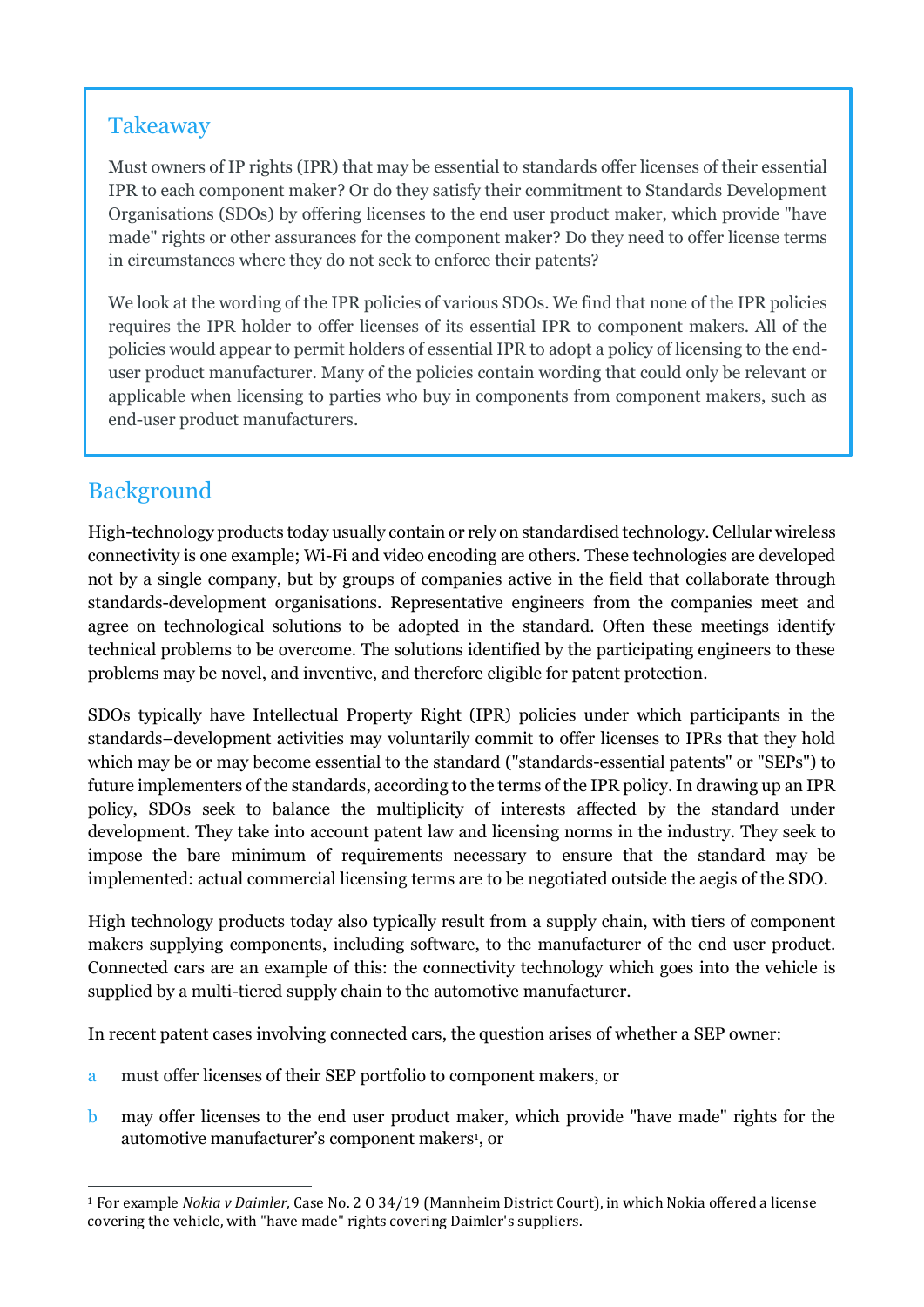## Takeaway

Must owners of IP rights (IPR) that may be essential to standards offer licenses of their essential IPR to each component maker? Or do they satisfy their commitment to Standards Development Organisations (SDOs) by offering licenses to the end user product maker, which provide "have made" rights or other assurances for the component maker? Do they need to offer license terms in circumstances where they do not seek to enforce their patents?

We look at the wording of the IPR policies of various SDOs. We find that none of the IPR policies requires the IPR holder to offer licenses of its essential IPR to component makers. All of the policies would appear to permit holders of essential IPR to adopt a policy of licensing to the enduser product manufacturer. Many of the policies contain wording that could only be relevant or applicable when licensing to parties who buy in components from component makers, such as end-user product manufacturers.

## Background

High-technology products today usually contain or rely on standardised technology. Cellular wireless connectivity is one example; Wi-Fi and video encoding are others. These technologies are developed not by a single company, but by groups of companies active in the field that collaborate through standards-development organisations. Representative engineers from the companies meet and agree on technological solutions to be adopted in the standard. Often these meetings identify technical problems to be overcome. The solutions identified by the participating engineers to these problems may be novel, and inventive, and therefore eligible for patent protection.

SDOs typically have Intellectual Property Right (IPR) policies under which participants in the standards–development activities may voluntarily commit to offer licenses to IPRs that they hold which may be or may become essential to the standard ("standards-essential patents" or "SEPs") to future implementers of the standards, according to the terms of the IPR policy. In drawing up an IPR policy, SDOs seek to balance the multiplicity of interests affected by the standard under development. They take into account patent law and licensing norms in the industry. They seek to impose the bare minimum of requirements necessary to ensure that the standard may be implemented: actual commercial licensing terms are to be negotiated outside the aegis of the SDO.

High technology products today also typically result from a supply chain, with tiers of component makers supplying components, including software, to the manufacturer of the end user product. Connected cars are an example of this: the connectivity technology which goes into the vehicle is supplied by a multi-tiered supply chain to the automotive manufacturer.

In recent patent cases involving connected cars, the question arises of whether a SEP owner:

- a must offer licenses of their SEP portfolio to component makers, or
- b may offer licenses to the end user product maker, which provide "have made" rights for the automotive manufacturer's component makers<sup>1</sup>, or

<sup>1</sup> For example *Nokia v Daimler,* Case No. 2 O 34/19 (Mannheim District Court), in which Nokia offered a license covering the vehicle, with "have made" rights covering Daimler's suppliers.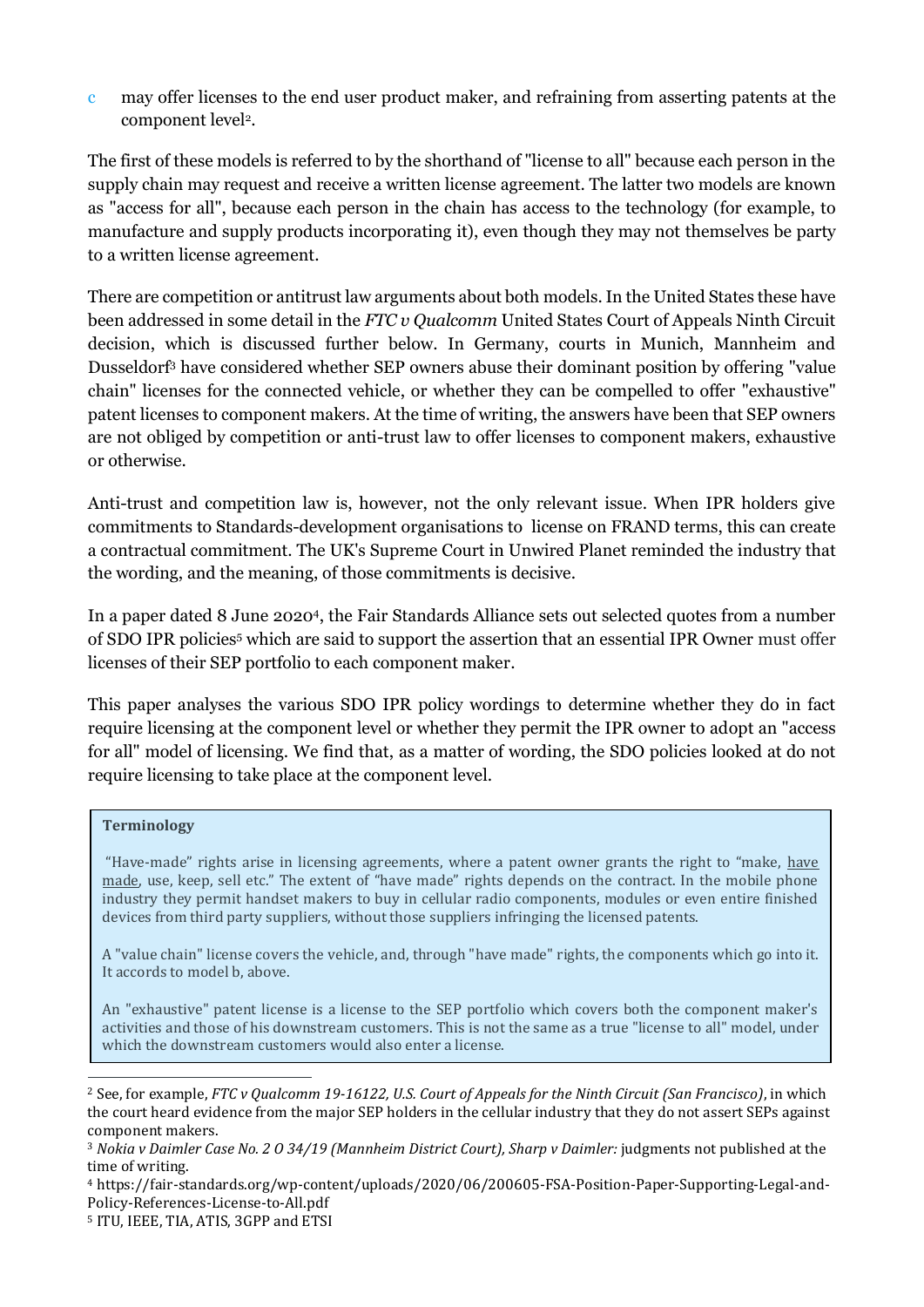c may offer licenses to the end user product maker, and refraining from asserting patents at the component level<sup>2</sup>.

The first of these models is referred to by the shorthand of "license to all" because each person in the supply chain may request and receive a written license agreement. The latter two models are known as "access for all", because each person in the chain has access to the technology (for example, to manufacture and supply products incorporating it), even though they may not themselves be party to a written license agreement.

There are competition or antitrust law arguments about both models. In the United States these have been addressed in some detail in the *FTC v Qualcomm* United States Court of Appeals Ninth Circuit decision, which is discussed further below. In Germany, courts in Munich, Mannheim and Dusseldorf<sup>3</sup> have considered whether SEP owners abuse their dominant position by offering "value chain" licenses for the connected vehicle, or whether they can be compelled to offer "exhaustive" patent licenses to component makers. At the time of writing, the answers have been that SEP owners are not obliged by competition or anti-trust law to offer licenses to component makers, exhaustive or otherwise.

Anti-trust and competition law is, however, not the only relevant issue. When IPR holders give commitments to Standards-development organisations to license on FRAND terms, this can create a contractual commitment. The UK's Supreme Court in Unwired Planet reminded the industry that the wording, and the meaning, of those commitments is decisive.

In a paper dated 8 June 2020<sup>4</sup> , the Fair Standards Alliance sets out selected quotes from a number of SDO IPR policies<sup>5</sup> which are said to support the assertion that an essential IPR Owner must offer licenses of their SEP portfolio to each component maker.

This paper analyses the various SDO IPR policy wordings to determine whether they do in fact require licensing at the component level or whether they permit the IPR owner to adopt an "access for all" model of licensing. We find that, as a matter of wording, the SDO policies looked at do not require licensing to take place at the component level.

#### **Terminology**

"Have-made" rights arise in licensing agreements, where a patent owner grants the right to "make, have made, use, keep, sell etc." The extent of "have made" rights depends on the contract. In the mobile phone industry they permit handset makers to buy in cellular radio components, modules or even entire finished devices from third party suppliers, without those suppliers infringing the licensed patents.

A "value chain" license covers the vehicle, and, through "have made" rights, the components which go into it. It accords to model b, above.

An "exhaustive" patent license is a license to the SEP portfolio which covers both the component maker's activities and those of his downstream customers. This is not the same as a true "license to all" model, under which the downstream customers would also enter a license.

<sup>2</sup> See, for example, *FTC v Qualcomm 19-16122, U.S. Court of Appeals for the Ninth Circuit (San Francisco)*, in which the court heard evidence from the major SEP holders in the cellular industry that they do not assert SEPs against component makers.

<sup>3</sup> *Nokia v Daimler Case No. 2 O 34/19 (Mannheim District Court), Sharp v Daimler:* judgments not published at the time of writing.

<sup>4</sup> https://fair-standards.org/wp-content/uploads/2020/06/200605-FSA-Position-Paper-Supporting-Legal-and-Policy-References-License-to-All.pdf

<sup>5</sup> ITU, IEEE, TIA, ATIS, 3GPP and ETSI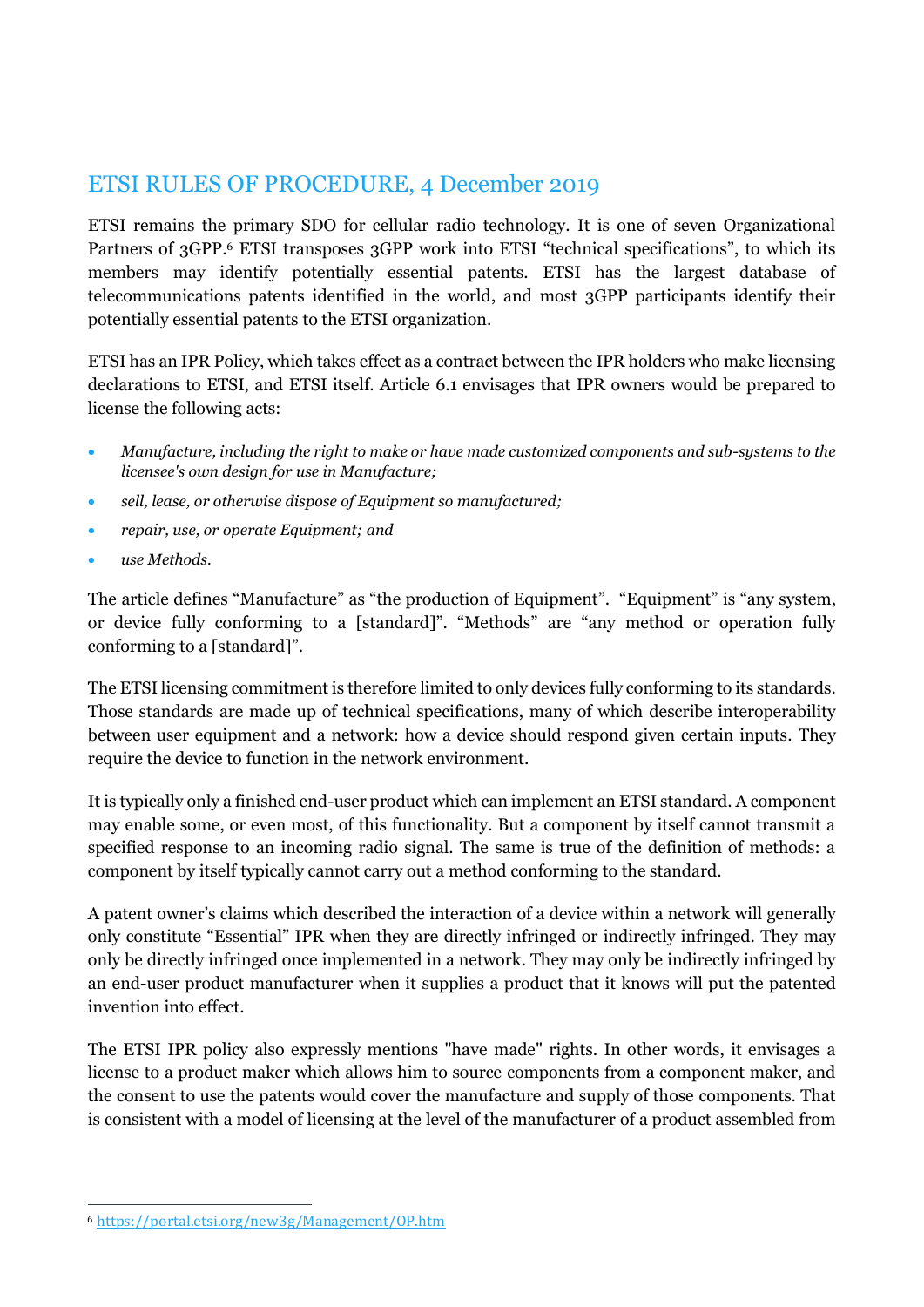## ETSI RULES OF PROCEDURE, 4 December 2019

ETSI remains the primary SDO for cellular radio technology. It is one of seven Organizational Partners of 3GPP.<sup>6</sup> ETSI transposes 3GPP work into ETSI "technical specifications", to which its members may identify potentially essential patents. ETSI has the largest database of telecommunications patents identified in the world, and most 3GPP participants identify their potentially essential patents to the ETSI organization.

ETSI has an IPR Policy, which takes effect as a contract between the IPR holders who make licensing declarations to ETSI, and ETSI itself. Article 6.1 envisages that IPR owners would be prepared to license the following acts:

- *Manufacture, including the right to make or have made customized components and sub-systems to the licensee's own design for use in Manufacture;*
- *sell, lease, or otherwise dispose of Equipment so manufactured;*
- *repair, use, or operate Equipment; and*
- *use Methods.*

The article defines "Manufacture" as "the production of Equipment". "Equipment" is "any system, or device fully conforming to a [standard]". "Methods" are "any method or operation fully conforming to a [standard]".

The ETSI licensing commitment is therefore limited to only devices fully conforming to its standards. Those standards are made up of technical specifications, many of which describe interoperability between user equipment and a network: how a device should respond given certain inputs. They require the device to function in the network environment.

It is typically only a finished end-user product which can implement an ETSI standard. A component may enable some, or even most, of this functionality. But a component by itself cannot transmit a specified response to an incoming radio signal. The same is true of the definition of methods: a component by itself typically cannot carry out a method conforming to the standard.

A patent owner's claims which described the interaction of a device within a network will generally only constitute "Essential" IPR when they are directly infringed or indirectly infringed. They may only be directly infringed once implemented in a network. They may only be indirectly infringed by an end-user product manufacturer when it supplies a product that it knows will put the patented invention into effect.

The ETSI IPR policy also expressly mentions "have made" rights. In other words, it envisages a license to a product maker which allows him to source components from a component maker, and the consent to use the patents would cover the manufacture and supply of those components. That is consistent with a model of licensing at the level of the manufacturer of a product assembled from

<sup>6</sup> <https://portal.etsi.org/new3g/Management/OP.htm>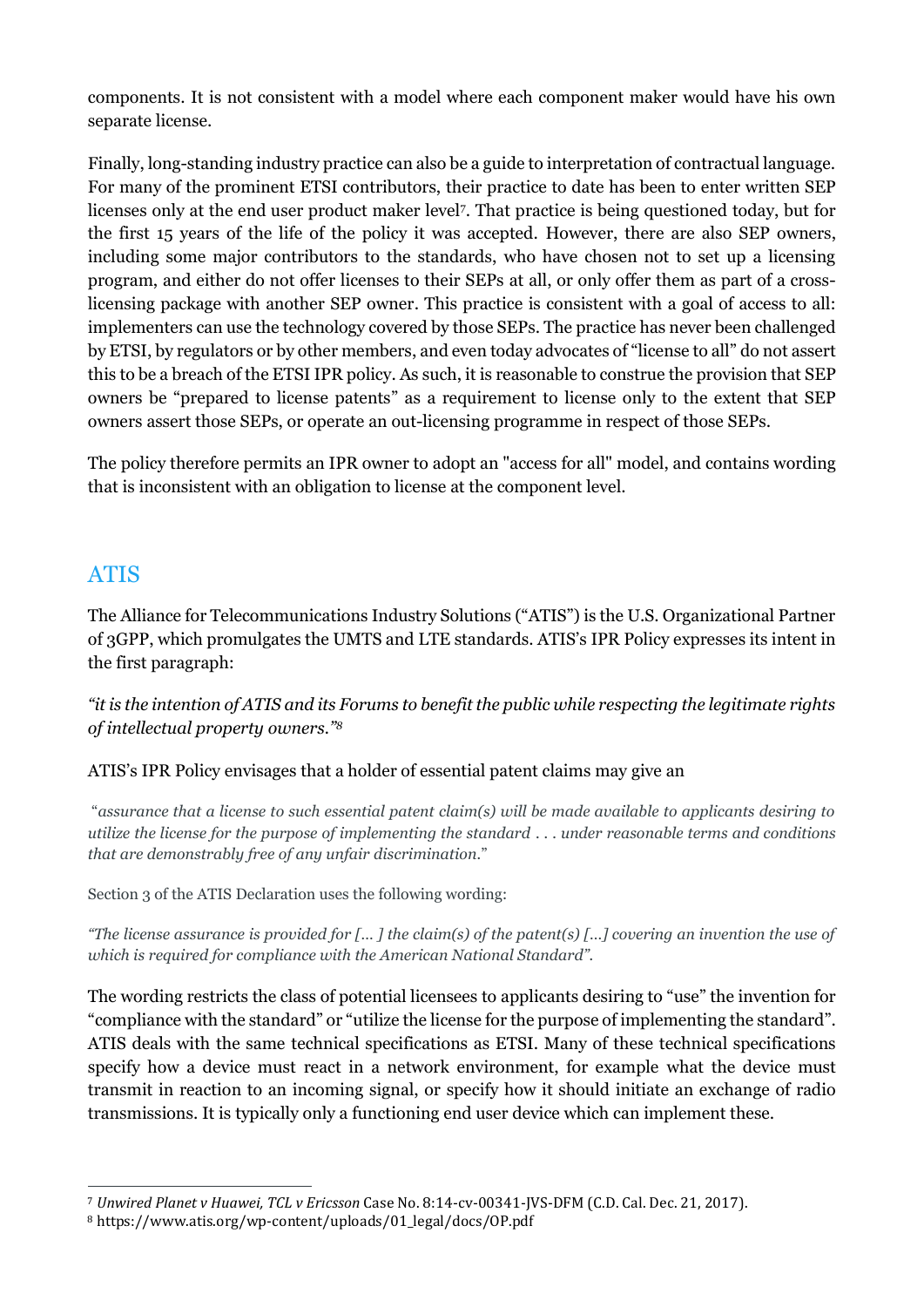components. It is not consistent with a model where each component maker would have his own separate license.

Finally, long-standing industry practice can also be a guide to interpretation of contractual language. For many of the prominent ETSI contributors, their practice to date has been to enter written SEP licenses only at the end user product maker level<sup>7</sup>. That practice is being questioned today, but for the first 15 years of the life of the policy it was accepted. However, there are also SEP owners, including some major contributors to the standards, who have chosen not to set up a licensing program, and either do not offer licenses to their SEPs at all, or only offer them as part of a crosslicensing package with another SEP owner. This practice is consistent with a goal of access to all: implementers can use the technology covered by those SEPs. The practice has never been challenged by ETSI, by regulators or by other members, and even today advocates of "license to all" do not assert this to be a breach of the ETSI IPR policy. As such, it is reasonable to construe the provision that SEP owners be "prepared to license patents" as a requirement to license only to the extent that SEP owners assert those SEPs, or operate an out-licensing programme in respect of those SEPs.

The policy therefore permits an IPR owner to adopt an "access for all" model, and contains wording that is inconsistent with an obligation to license at the component level.

### ATIS

The Alliance for Telecommunications Industry Solutions ("ATIS") is the U.S. Organizational Partner of 3GPP, which promulgates the UMTS and LTE standards. ATIS's IPR Policy expresses its intent in the first paragraph:

*"it is the intention of ATIS and its Forums to benefit the public while respecting the legitimate rights of intellectual property owners."<sup>8</sup>*

#### ATIS's IPR Policy envisages that a holder of essential patent claims may give an

"*assurance that a license to such essential patent claim(s) will be made available to applicants desiring to utilize the license for the purpose of implementing the standard . . . under reasonable terms and conditions that are demonstrably free of any unfair discrimination.*"

Section 3 of the ATIS Declaration uses the following wording:

*"The license assurance is provided for [… ] the claim(s) of the patent(s) […] covering an invention the use of which is required for compliance with the American National Standard".*

The wording restricts the class of potential licensees to applicants desiring to "use" the invention for "compliance with the standard" or "utilize the license for the purpose of implementing the standard". ATIS deals with the same technical specifications as ETSI. Many of these technical specifications specify how a device must react in a network environment, for example what the device must transmit in reaction to an incoming signal, or specify how it should initiate an exchange of radio transmissions. It is typically only a functioning end user device which can implement these.

<sup>7</sup> *Unwired Planet v Huawei, TCL v Ericsson* Case No. 8:14-cv-00341-JVS-DFM (C.D. Cal. Dec. 21, 2017).

<sup>8</sup> https://www.atis.org/wp-content/uploads/01\_legal/docs/OP.pdf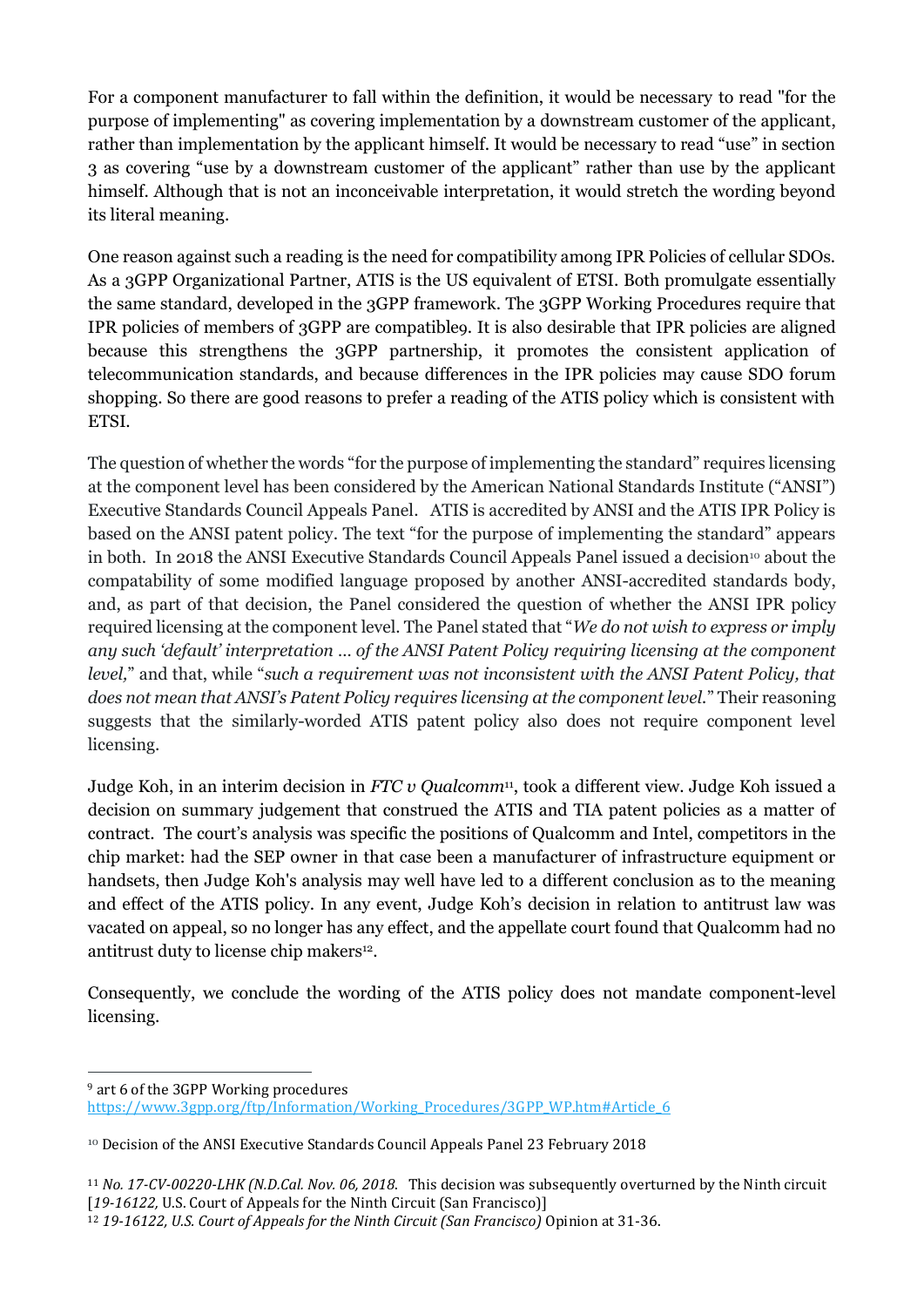For a component manufacturer to fall within the definition, it would be necessary to read "for the purpose of implementing" as covering implementation by a downstream customer of the applicant, rather than implementation by the applicant himself. It would be necessary to read "use" in section 3 as covering "use by a downstream customer of the applicant" rather than use by the applicant himself. Although that is not an inconceivable interpretation, it would stretch the wording beyond its literal meaning.

One reason against such a reading is the need for compatibility among IPR Policies of cellular SDOs. As a 3GPP Organizational Partner, ATIS is the US equivalent of ETSI. Both promulgate essentially the same standard, developed in the 3GPP framework. The 3GPP Working Procedures require that IPR policies of members of 3GPP are compatible9. It is also desirable that IPR policies are aligned because this strengthens the 3GPP partnership, it promotes the consistent application of telecommunication standards, and because differences in the IPR policies may cause SDO forum shopping. So there are good reasons to prefer a reading of the ATIS policy which is consistent with ETSI.

The question of whether the words "for the purpose of implementing the standard" requires licensing at the component level has been considered by the American National Standards Institute ("ANSI") Executive Standards Council Appeals Panel. ATIS is accredited by ANSI and the ATIS IPR Policy is based on the ANSI patent policy. The text "for the purpose of implementing the standard" appears in both. In 2018 the ANSI Executive Standards Council Appeals Panel issued a decision<sup>10</sup> about the compatability of some modified language proposed by another ANSI-accredited standards body, and, as part of that decision, the Panel considered the question of whether the ANSI IPR policy required licensing at the component level. The Panel stated that "*We do not wish to express or imply any such 'default' interpretation … of the ANSI Patent Policy requiring licensing at the component level,*" and that, while "*such a requirement was not inconsistent with the ANSI Patent Policy, that does not mean that ANSI's Patent Policy requires licensing at the component level.*" Their reasoning suggests that the similarly-worded ATIS patent policy also does not require component level licensing.

Judge Koh, in an interim decision in *FTC v Qualcomm*11, took a different view. Judge Koh issued a decision on summary judgement that construed the ATIS and TIA patent policies as a matter of contract. The court's analysis was specific the positions of Qualcomm and Intel, competitors in the chip market: had the SEP owner in that case been a manufacturer of infrastructure equipment or handsets, then Judge Koh's analysis may well have led to a different conclusion as to the meaning and effect of the ATIS policy. In any event, Judge Koh's decision in relation to antitrust law was vacated on appeal, so no longer has any effect, and the appellate court found that Qualcomm had no antitrust duty to license chip makers<sup>12</sup>.

Consequently, we conclude the wording of the ATIS policy does not mandate component-level licensing.

<sup>9</sup> art 6 of the 3GPP Working procedures

[https://www.3gpp.org/ftp/Information/Working\\_Procedures/3GPP\\_WP.htm#Article\\_6](https://www.3gpp.org/ftp/Information/Working_Procedures/3GPP_WP.htm#Article_6)

<sup>10</sup> Decision of the ANSI Executive Standards Council Appeals Panel 23 February 2018

<sup>11</sup> *No. 17-CV-00220-LHK (N.D.Cal. Nov. 06, 2018*. This decision was subsequently overturned by the Ninth circuit [*19-16122,* U.S. Court of Appeals for the Ninth Circuit (San Francisco)]

<sup>12</sup> *19-16122, U.S. Court of Appeals for the Ninth Circuit (San Francisco)* Opinion at 31-36.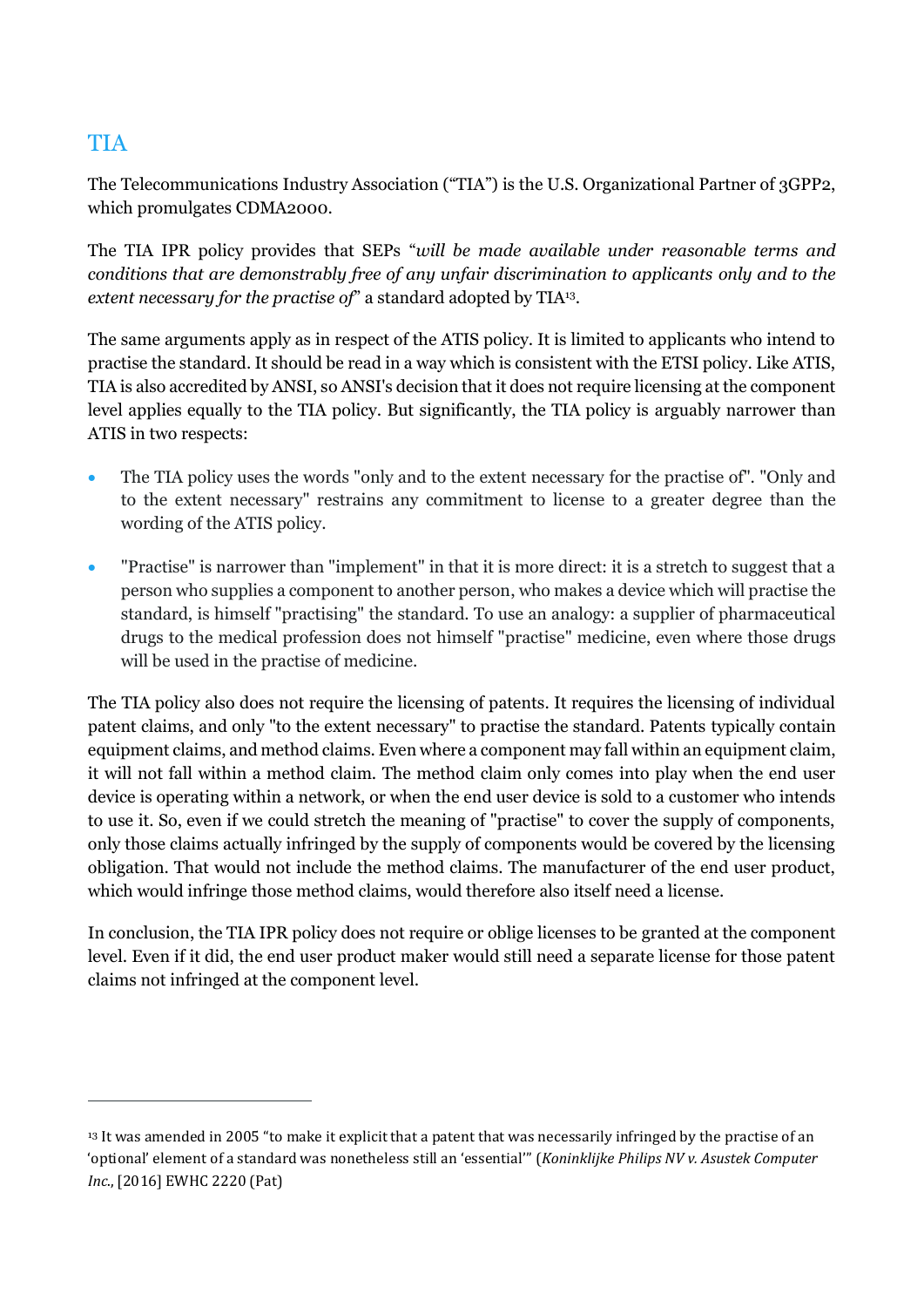## **TIA**

The Telecommunications Industry Association ("TIA") is the U.S. Organizational Partner of 3GPP2, which promulgates CDMA2000.

The TIA IPR policy provides that SEPs "*will be made available under reasonable terms and conditions that are demonstrably free of any unfair discrimination to applicants only and to the*  extent necessary for the practise of" a standard adopted by TIA<sup>13</sup>.

The same arguments apply as in respect of the ATIS policy. It is limited to applicants who intend to practise the standard. It should be read in a way which is consistent with the ETSI policy. Like ATIS, TIA is also accredited by ANSI, so ANSI's decision that it does not require licensing at the component level applies equally to the TIA policy. But significantly, the TIA policy is arguably narrower than ATIS in two respects:

- The TIA policy uses the words "only and to the extent necessary for the practise of". "Only and to the extent necessary" restrains any commitment to license to a greater degree than the wording of the ATIS policy.
- "Practise" is narrower than "implement" in that it is more direct: it is a stretch to suggest that a person who supplies a component to another person, who makes a device which will practise the standard, is himself "practising" the standard. To use an analogy: a supplier of pharmaceutical drugs to the medical profession does not himself "practise" medicine, even where those drugs will be used in the practise of medicine.

The TIA policy also does not require the licensing of patents. It requires the licensing of individual patent claims, and only "to the extent necessary" to practise the standard. Patents typically contain equipment claims, and method claims. Even where a component may fall within an equipment claim, it will not fall within a method claim. The method claim only comes into play when the end user device is operating within a network, or when the end user device is sold to a customer who intends to use it. So, even if we could stretch the meaning of "practise" to cover the supply of components, only those claims actually infringed by the supply of components would be covered by the licensing obligation. That would not include the method claims. The manufacturer of the end user product, which would infringe those method claims, would therefore also itself need a license.

In conclusion, the TIA IPR policy does not require or oblige licenses to be granted at the component level. Even if it did, the end user product maker would still need a separate license for those patent claims not infringed at the component level.

<sup>&</sup>lt;sup>13</sup> It was amended in 2005 "to make it explicit that a patent that was necessarily infringed by the practise of an 'optional' element of a standard was nonetheless still an 'essential'" (*Koninklijke Philips NV v. Asustek Computer Inc*., [2016] EWHC 2220 (Pat)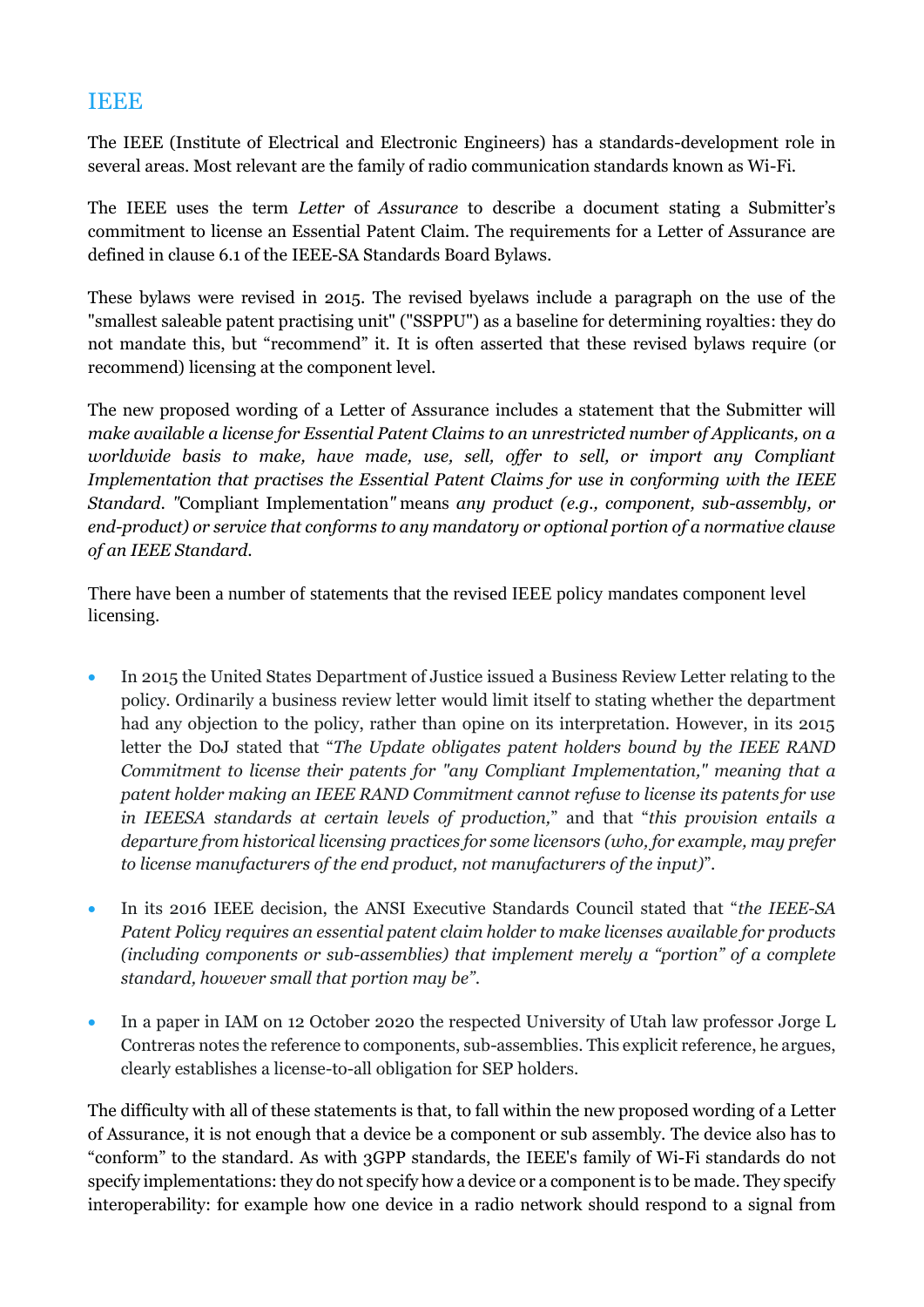#### IEEE

The IEEE (Institute of Electrical and Electronic Engineers) has a standards-development role in several areas. Most relevant are the family of radio communication standards known as Wi-Fi.

The IEEE uses the term *Letter* of *Assurance* to describe a document stating a Submitter's commitment to license an Essential Patent Claim. The requirements for a Letter of Assurance are defined in clause 6.1 of the IEEE-SA Standards Board Bylaws*.* 

These bylaws were revised in 2015. The revised byelaws include a paragraph on the use of the "smallest saleable patent practising unit" ("SSPPU") as a baseline for determining royalties: they do not mandate this, but "recommend" it. It is often asserted that these revised bylaws require (or recommend) licensing at the component level.

The new proposed wording of a Letter of Assurance includes a statement that the Submitter will *make available a license for Essential Patent Claims to an unrestricted number of Applicants, on a worldwide basis to make, have made, use, sell, offer to sell, or import any Compliant Implementation that practises the Essential Patent Claims for use in conforming with the IEEE Standard*. *"*Compliant Implementation*"* means *any product (e.g., component, sub-assembly, or end-product) or service that conforms to any mandatory or optional portion of a normative clause of an IEEE Standard*.

There have been a number of statements that the revised IEEE policy mandates component level licensing.

- In 2015 the United States Department of Justice issued a Business Review Letter relating to the policy. Ordinarily a business review letter would limit itself to stating whether the department had any objection to the policy, rather than opine on its interpretation. However, in its 2015 letter the DoJ stated that "*The Update obligates patent holders bound by the IEEE RAND Commitment to license their patents for "any Compliant Implementation," meaning that a patent holder making an IEEE RAND Commitment cannot refuse to license its patents for use in IEEESA standards at certain levels of production,*" and that "*this provision entails a departure from historical licensing practices for some licensors (who, for example, may prefer to license manufacturers of the end product, not manufacturers of the input)*".
- In its 2016 IEEE decision, the ANSI Executive Standards Council stated that "*the IEEE-SA Patent Policy requires an essential patent claim holder to make licenses available for products (including components or sub-assemblies) that implement merely a "portion" of a complete standard, however small that portion may be"*.
- In a paper in IAM on 12 October 2020 the respected University of Utah law professor Jorge L Contreras notes the reference to components, sub-assemblies. This explicit reference, he argues, clearly establishes a license-to-all obligation for SEP holders.

The difficulty with all of these statements is that, to fall within the new proposed wording of a Letter of Assurance, it is not enough that a device be a component or sub assembly. The device also has to "conform" to the standard. As with 3GPP standards, the IEEE's family of Wi-Fi standards do not specify implementations: they do not specify how a device or a component is to be made. They specify interoperability: for example how one device in a radio network should respond to a signal from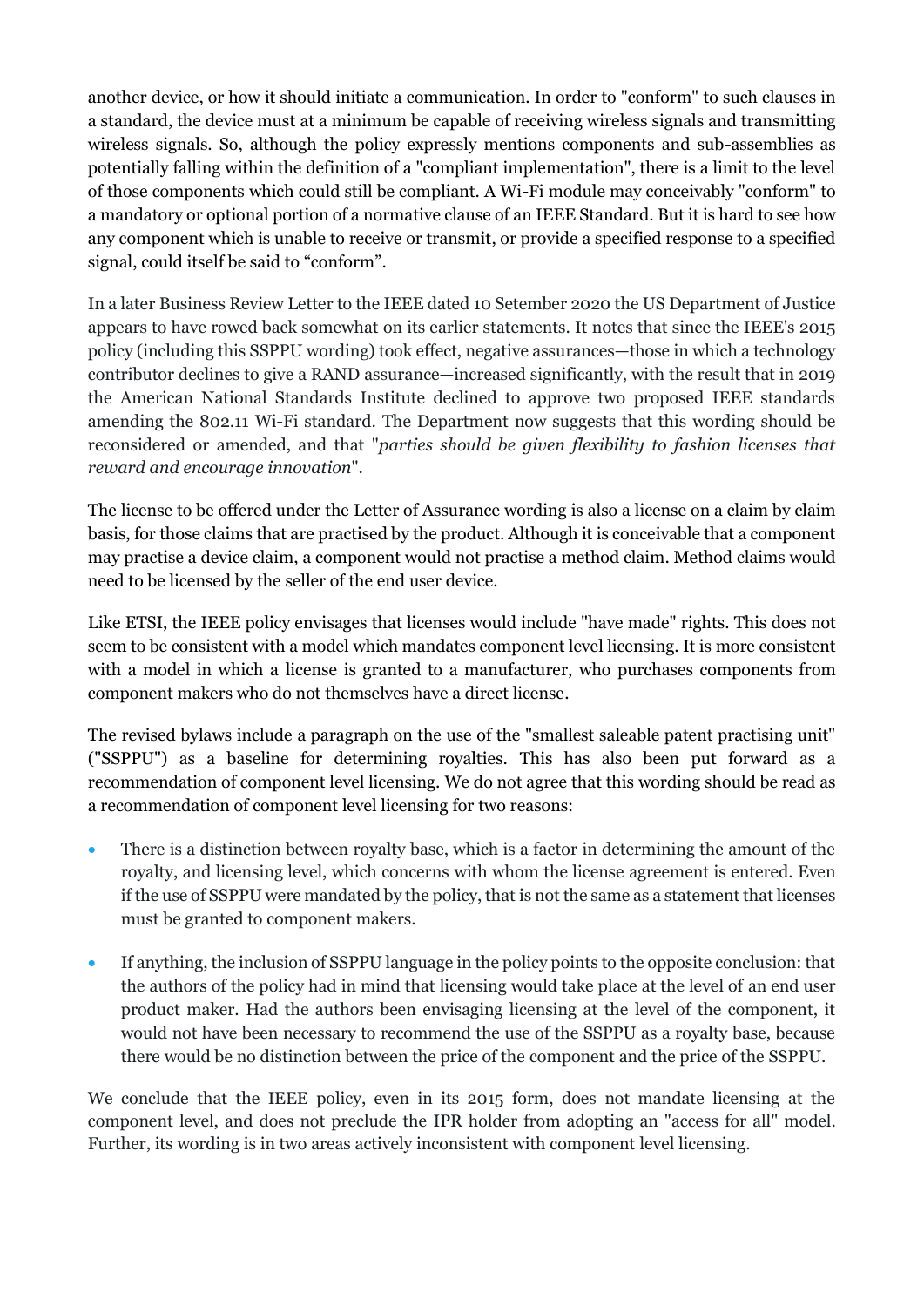another device, or how it should initiate a communication. In order to "conform" to such clauses in a standard, the device must at a minimum be capable of receiving wireless signals and transmitting wireless signals. So, although the policy expressly mentions components and sub-assemblies as potentially falling within the definition of a "compliant implementation", there is a limit to the level of those components which could still be compliant. A Wi-Fi module may conceivably "conform" to a mandatory or optional portion of a normative clause of an IEEE Standard. But it is hard to see how any component which is unable to receive or transmit, or provide a specified response to a specified signal, could itself be said to "conform".

In a later Business Review Letter to the IEEE dated 10 Setember 2020 the US Department of Justice appears to have rowed back somewhat on its earlier statements. It notes that since the IEEE's 2015 policy (including this SSPPU wording) took effect, negative assurances—those in which a technology contributor declines to give a RAND assurance—increased significantly, with the result that in 2019 the American National Standards Institute declined to approve two proposed IEEE standards amending the 802.11 Wi-Fi standard. The Department now suggests that this wording should be reconsidered or amended, and that "*parties should be given flexibility to fashion licenses that reward and encourage innovation*".

The license to be offered under the Letter of Assurance wording is also a license on a claim by claim basis, for those claims that are practised by the product. Although it is conceivable that a component may practise a device claim, a component would not practise a method claim. Method claims would need to be licensed by the seller of the end user device.

Like ETSI, the IEEE policy envisages that licenses would include "have made" rights. This does not seem to be consistent with a model which mandates component level licensing. It is more consistent with a model in which a license is granted to a manufacturer, who purchases components from component makers who do not themselves have a direct license.

The revised bylaws include a paragraph on the use of the "smallest saleable patent practising unit" ("SSPPU") as a baseline for determining royalties. This has also been put forward as a recommendation of component level licensing. We do not agree that this wording should be read as a recommendation of component level licensing for two reasons:

- There is a distinction between royalty base, which is a factor in determining the amount of the royalty, and licensing level, which concerns with whom the license agreement is entered. Even if the use of SSPPU were mandated by the policy, that is not the same as a statement that licenses must be granted to component makers.
- If anything, the inclusion of SSPPU language in the policy points to the opposite conclusion: that the authors of the policy had in mind that licensing would take place at the level of an end user product maker. Had the authors been envisaging licensing at the level of the component, it would not have been necessary to recommend the use of the SSPPU as a royalty base, because there would be no distinction between the price of the component and the price of the SSPPU.

We conclude that the IEEE policy, even in its 2015 form, does not mandate licensing at the component level, and does not preclude the IPR holder from adopting an "access for all" model. Further, its wording is in two areas actively inconsistent with component level licensing.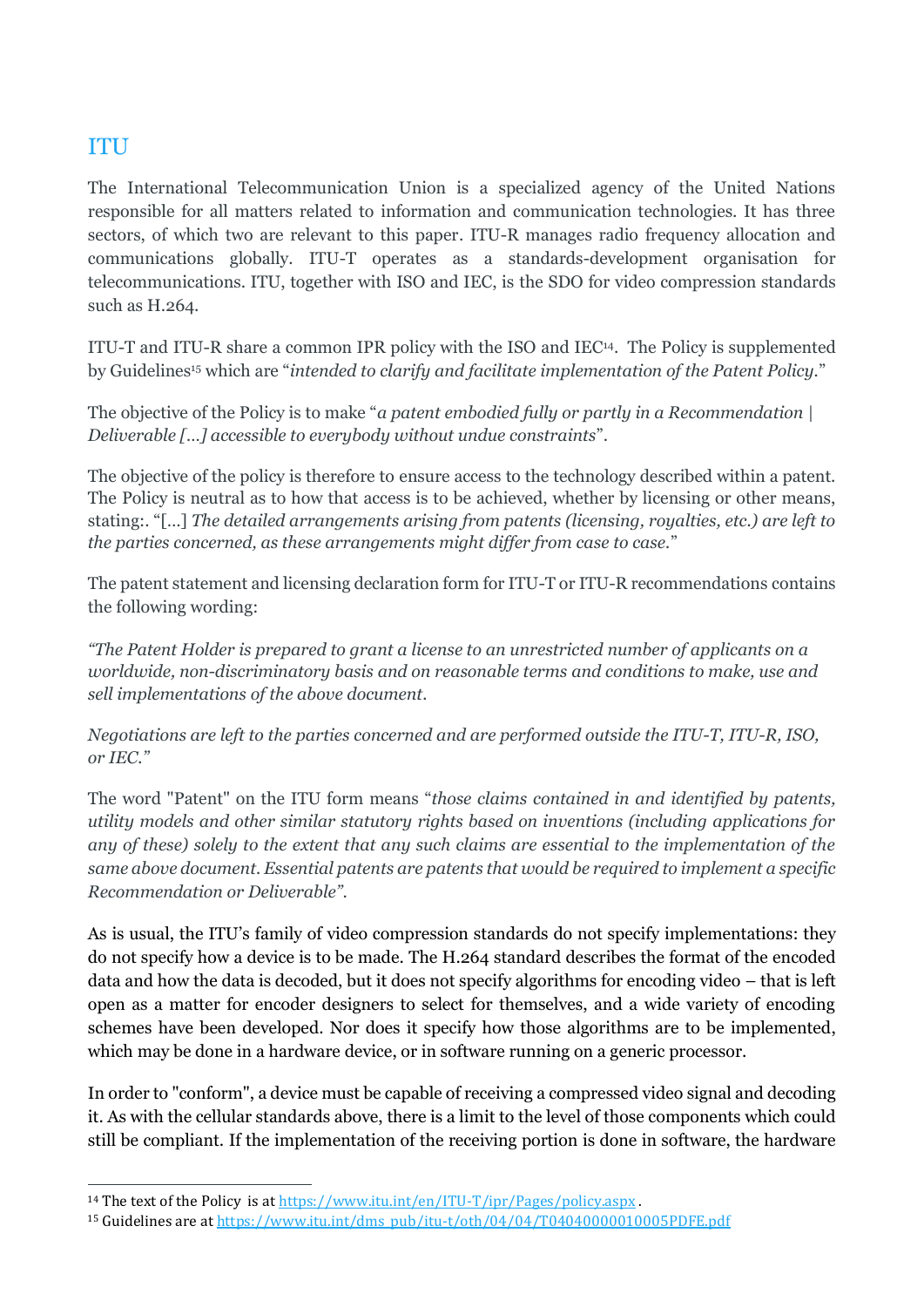## ITU

The International Telecommunication Union is a specialized agency of the United Nations responsible for all matters related to information and communication technologies. It has three sectors, of which two are relevant to this paper. ITU-R manages radio frequency allocation and communications globally. ITU-T operates as a standards-development organisation for telecommunications. ITU, together with ISO and IEC, is the SDO for video compression standards such as H.264.

ITU-T and ITU-R share a common IPR policy with the ISO and IEC<sup>14</sup> . The Policy is supplemented by Guidelines<sup>15</sup> which are "*intended to clarify and facilitate implementation of the Patent Policy.*"

The objective of the Policy is to make "*a patent embodied fully or partly in a Recommendation | Deliverable […] accessible to everybody without undue constraints*".

The objective of the policy is therefore to ensure access to the technology described within a patent. The Policy is neutral as to how that access is to be achieved, whether by licensing or other means, stating:. "[…] *The detailed arrangements arising from patents (licensing, royalties, etc.) are left to the parties concerned, as these arrangements might differ from case to case.*"

The patent statement and licensing declaration form for ITU-T or ITU-R recommendations contains the following wording:

*"The Patent Holder is prepared to grant a license to an unrestricted number of applicants on a worldwide, non-discriminatory basis and on reasonable terms and conditions to make, use and sell implementations of the above document.*

*Negotiations are left to the parties concerned and are performed outside the ITU-T, ITU-R, ISO, or IEC."*

The word "Patent" on the ITU form means "*those claims contained in and identified by patents, utility models and other similar statutory rights based on inventions (including applications for any of these) solely to the extent that any such claims are essential to the implementation of the same above document. Essential patents are patents that would be required to implement a specific Recommendation or Deliverable"*.

As is usual, the ITU's family of video compression standards do not specify implementations: they do not specify how a device is to be made. The H.264 standard describes the format of the encoded data and how the data is decoded, but it does not specify algorithms for encoding video – that is left open as a matter for encoder designers to select for themselves, and a wide variety of encoding schemes have been developed. Nor does it specify how those algorithms are to be implemented, which may be done in a hardware device, or in software running on a generic processor.

In order to "conform", a device must be capable of receiving a compressed video signal and decoding it. As with the cellular standards above, there is a limit to the level of those components which could still be compliant. If the implementation of the receiving portion is done in software, the hardware

<sup>14</sup> The text of the Policy is at<https://www.itu.int/en/ITU-T/ipr/Pages/policy.aspx>.

<sup>15</sup> Guidelines are at [https://www.itu.int/dms\\_pub/itu-t/oth/04/04/T04040000010005PDFE.pdf](https://www.itu.int/dms_pub/itu-t/oth/04/04/T04040000010005PDFE.pdf)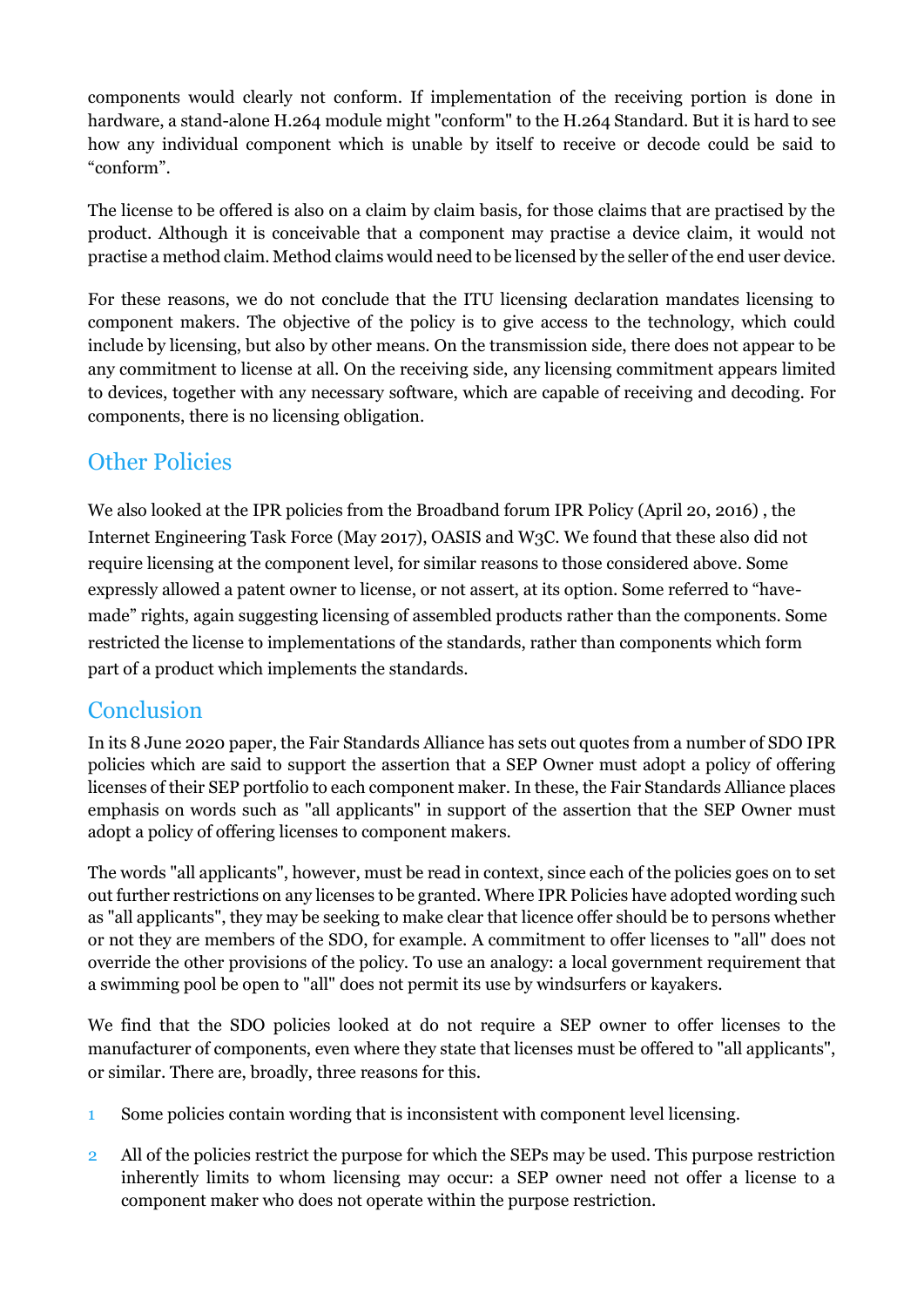components would clearly not conform. If implementation of the receiving portion is done in hardware, a stand-alone H.264 module might "conform" to the H.264 Standard. But it is hard to see how any individual component which is unable by itself to receive or decode could be said to "conform".

The license to be offered is also on a claim by claim basis, for those claims that are practised by the product. Although it is conceivable that a component may practise a device claim, it would not practise a method claim. Method claims would need to be licensed by the seller of the end user device.

For these reasons, we do not conclude that the ITU licensing declaration mandates licensing to component makers. The objective of the policy is to give access to the technology, which could include by licensing, but also by other means. On the transmission side, there does not appear to be any commitment to license at all. On the receiving side, any licensing commitment appears limited to devices, together with any necessary software, which are capable of receiving and decoding. For components, there is no licensing obligation.

## **Other Policies**

We also looked at the IPR policies from the Broadband forum IPR Policy (April 20, 2016) , the Internet Engineering Task Force (May 2017), OASIS and W3C. We found that these also did not require licensing at the component level, for similar reasons to those considered above. Some expressly allowed a patent owner to license, or not assert, at its option. Some referred to "havemade" rights, again suggesting licensing of assembled products rather than the components. Some restricted the license to implementations of the standards, rather than components which form part of a product which implements the standards.

## Conclusion

In its 8 June 2020 paper, the Fair Standards Alliance has sets out quotes from a number of SDO IPR policies which are said to support the assertion that a SEP Owner must adopt a policy of offering licenses of their SEP portfolio to each component maker. In these, the Fair Standards Alliance places emphasis on words such as "all applicants" in support of the assertion that the SEP Owner must adopt a policy of offering licenses to component makers.

The words "all applicants", however, must be read in context, since each of the policies goes on to set out further restrictions on any licenses to be granted. Where IPR Policies have adopted wording such as "all applicants", they may be seeking to make clear that licence offer should be to persons whether or not they are members of the SDO, for example. A commitment to offer licenses to "all" does not override the other provisions of the policy. To use an analogy: a local government requirement that a swimming pool be open to "all" does not permit its use by windsurfers or kayakers.

We find that the SDO policies looked at do not require a SEP owner to offer licenses to the manufacturer of components, even where they state that licenses must be offered to "all applicants", or similar. There are, broadly, three reasons for this.

- 1 Some policies contain wording that is inconsistent with component level licensing.
- 2 All of the policies restrict the purpose for which the SEPs may be used. This purpose restriction inherently limits to whom licensing may occur: a SEP owner need not offer a license to a component maker who does not operate within the purpose restriction.